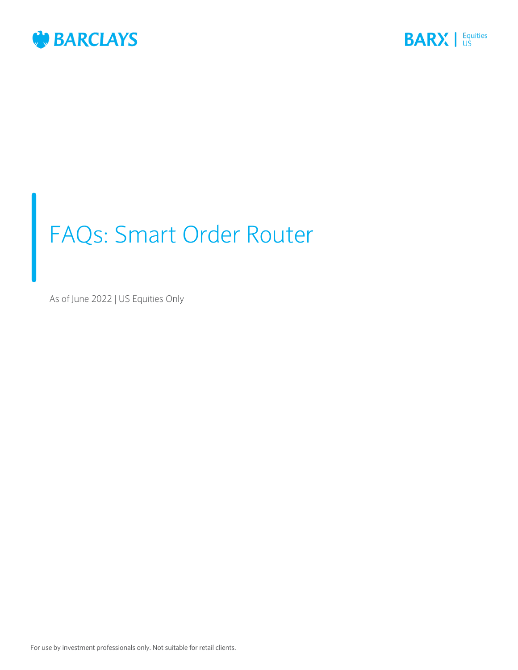



# FAQs: Smart Order Router

As of June 2022 | US Equities Only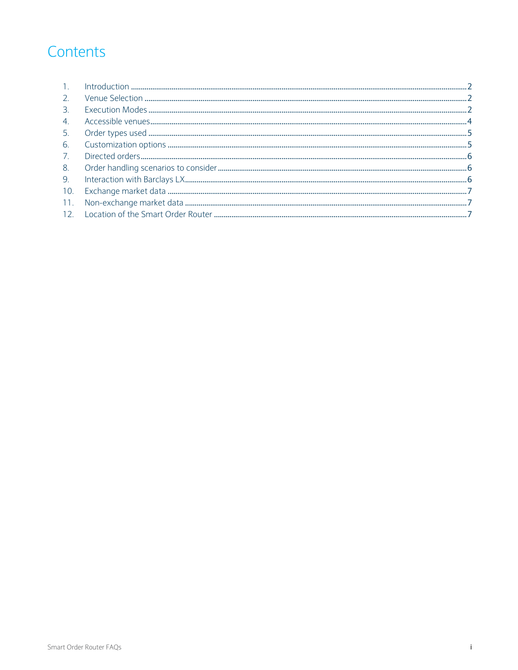# Contents

| 2.             |  |
|----------------|--|
| $\overline{3}$ |  |
| 4.             |  |
| 5.             |  |
| 6.             |  |
| 7.             |  |
| 8.             |  |
| 9.             |  |
| 10.            |  |
| 11.            |  |
|                |  |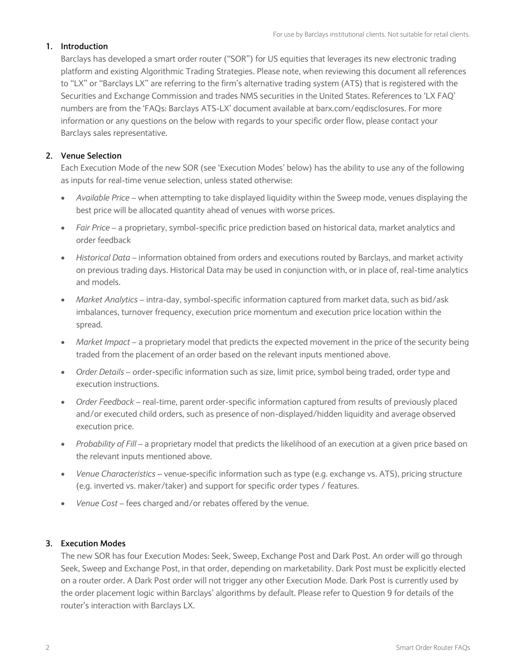# <span id="page-2-0"></span>**1. Introduction**

Barclays has developed a smart order router ("SOR") for US equities that leverages its new electronic trading platform and existing Algorithmic Trading Strategies. Please note, when reviewing this document all references to "LX" or "Barclays LX" are referring to the firm's alternative trading system (ATS) that is registered with the Securities and Exchange Commission and trades NMS securities in the United States. References to 'LX FAQ' numbers are from the 'FAQs: Barclays ATS-LX' document available at barx.com/eqdisclosures. For more information or any questions on the below with regards to your specific order flow, please contact your Barclays sales representative.

# <span id="page-2-1"></span>**2. Venue Selection**

Each Execution Mode of the new SOR (see 'Execution Modes' below) has the ability to use any of the following as inputs for real-time venue selection, unless stated otherwise:

- *Available Price* when attempting to take displayed liquidity within the Sweep mode, venues displaying the best price will be allocated quantity ahead of venues with worse prices.
- *Fair Price* a proprietary, symbol-specific price prediction based on historical data, market analytics and order feedback
- *Historical Data* information obtained from orders and executions routed by Barclays, and market activity on previous trading days. Historical Data may be used in conjunction with, or in place of, real-time analytics and models.
- *Market Analytics* intra-day, symbol-specific information captured from market data, such as bid/ask imbalances, turnover frequency, execution price momentum and execution price location within the spread.
- *Market Impact –* a proprietary model that predicts the expected movement in the price of the security being traded from the placement of an order based on the relevant inputs mentioned above.
- *Order Details*  order-specific information such as size, limit price, symbol being traded, order type and execution instructions.
- *Order Feedback* real-time, parent order-specific information captured from results of previously placed and/or executed child orders, such as presence of non-displayed/hidden liquidity and average observed execution price.
- *Probability of Fill –* a proprietary model that predicts the likelihood of an execution at a given price based on the relevant inputs mentioned above.
- *Venue Characteristics –* venue-specific information such as type (e.g. exchange vs. ATS), pricing structure (e.g. inverted vs. maker/taker) and support for specific order types / features.
- *Venue Cost* fees charged and/or rebates offered by the venue.

# <span id="page-2-2"></span>**3. Execution Modes**

The new SOR has four Execution Modes: Seek, Sweep, Exchange Post and Dark Post. An order will go through Seek, Sweep and Exchange Post, in that order, depending on marketability. Dark Post must be explicitly elected on a router order. A Dark Post order will not trigger any other Execution Mode. Dark Post is currently used by the order placement logic within Barclays' algorithms by default. Please refer to Question 9 for details of the router's interaction with Barclays LX.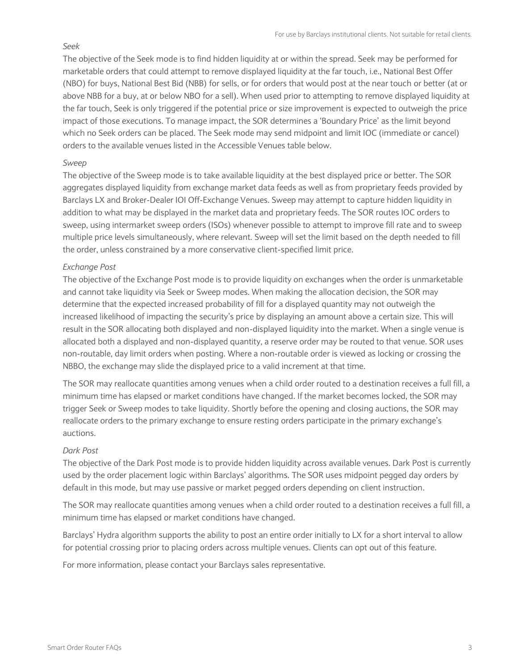#### *Seek*

The objective of the Seek mode is to find hidden liquidity at or within the spread. Seek may be performed for marketable orders that could attempt to remove displayed liquidity at the far touch, i.e., National Best Offer (NBO) for buys, National Best Bid (NBB) for sells, or for orders that would post at the near touch or better (at or above NBB for a buy, at or below NBO for a sell). When used prior to attempting to remove displayed liquidity at the far touch, Seek is only triggered if the potential price or size improvement is expected to outweigh the price impact of those executions. To manage impact, the SOR determines a 'Boundary Price' as the limit beyond which no Seek orders can be placed. The Seek mode may send midpoint and limit IOC (immediate or cancel) orders to the available venues listed in the Accessible Venues table below.

# *Sweep*

The objective of the Sweep mode is to take available liquidity at the best displayed price or better. The SOR aggregates displayed liquidity from exchange market data feeds as well as from proprietary feeds provided by Barclays LX and Broker-Dealer IOI Off-Exchange Venues. Sweep may attempt to capture hidden liquidity in addition to what may be displayed in the market data and proprietary feeds. The SOR routes IOC orders to sweep, using intermarket sweep orders (ISOs) whenever possible to attempt to improve fill rate and to sweep multiple price levels simultaneously, where relevant. Sweep will set the limit based on the depth needed to fill the order, unless constrained by a more conservative client-specified limit price.

## *Exchange Post*

The objective of the Exchange Post mode is to provide liquidity on exchanges when the order is unmarketable and cannot take liquidity via Seek or Sweep modes. When making the allocation decision, the SOR may determine that the expected increased probability of fill for a displayed quantity may not outweigh the increased likelihood of impacting the security's price by displaying an amount above a certain size. This will result in the SOR allocating both displayed and non-displayed liquidity into the market. When a single venue is allocated both a displayed and non-displayed quantity, a reserve order may be routed to that venue. SOR uses non-routable, day limit orders when posting. Where a non-routable order is viewed as locking or crossing the NBBO, the exchange may slide the displayed price to a valid increment at that time.

The SOR may reallocate quantities among venues when a child order routed to a destination receives a full fill, a minimum time has elapsed or market conditions have changed. If the market becomes locked, the SOR may trigger Seek or Sweep modes to take liquidity. Shortly before the opening and closing auctions, the SOR may reallocate orders to the primary exchange to ensure resting orders participate in the primary exchange's auctions.

#### *Dark Post*

The objective of the Dark Post mode is to provide hidden liquidity across available venues. Dark Post is currently used by the order placement logic within Barclays' algorithms. The SOR uses midpoint pegged day orders by default in this mode, but may use passive or market pegged orders depending on client instruction.

The SOR may reallocate quantities among venues when a child order routed to a destination receives a full fill, a minimum time has elapsed or market conditions have changed.

Barclays' Hydra algorithm supports the ability to post an entire order initially to LX for a short interval to allow for potential crossing prior to placing orders across multiple venues. Clients can opt out of this feature.

<span id="page-3-0"></span>For more information, please contact your Barclays sales representative.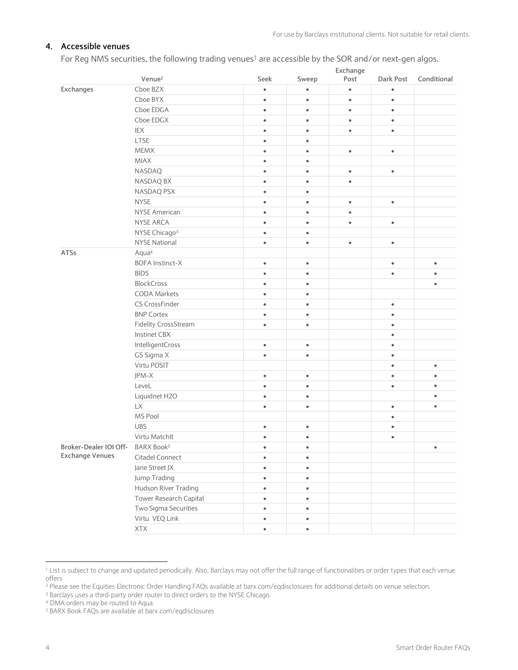# **4. Accessible venues**

For Reg NMS securities, the following trading venues<sup>1</sup> are accessible by the SOR and/or next-gen algos.

|                        |                                    |           | Exchange  |           |           |             |  |
|------------------------|------------------------------------|-----------|-----------|-----------|-----------|-------------|--|
|                        | Venue <sup>2</sup>                 | Seek      | Sweep     | Post      | Dark Post | Conditional |  |
| Exchanges              | Cboe BZX                           | $\bullet$ | $\bullet$ | $\bullet$ | $\bullet$ |             |  |
|                        | Cboe BYX                           | $\bullet$ | $\bullet$ | $\bullet$ | $\bullet$ |             |  |
|                        | Cboe EDGA                          | $\bullet$ | $\bullet$ | $\bullet$ | $\bullet$ |             |  |
|                        | Cboe EDGX                          | $\bullet$ | $\bullet$ | $\bullet$ | $\bullet$ |             |  |
|                        | IEX                                | $\bullet$ | $\bullet$ | $\bullet$ | $\bullet$ |             |  |
|                        | LTSE                               | $\bullet$ | $\bullet$ |           |           |             |  |
|                        | <b>MEMX</b>                        | $\bullet$ | $\bullet$ | $\bullet$ | $\bullet$ |             |  |
|                        | <b>MIAX</b>                        | $\bullet$ | $\bullet$ |           |           |             |  |
|                        | <b>NASDAQ</b>                      | $\bullet$ | $\bullet$ | $\bullet$ | $\bullet$ |             |  |
|                        | NASDAQ BX                          | $\bullet$ | $\bullet$ | $\bullet$ |           |             |  |
|                        | NASDAQ PSX                         | $\bullet$ | $\bullet$ |           |           |             |  |
|                        | <b>NYSE</b>                        | $\bullet$ | $\bullet$ | $\bullet$ | $\bullet$ |             |  |
|                        | <b>NYSE American</b>               | $\bullet$ | $\bullet$ | $\bullet$ |           |             |  |
|                        | NYSE ARCA                          | $\bullet$ | $\bullet$ | $\bullet$ | $\bullet$ |             |  |
|                        | NYSE Chicago <sup>3</sup>          | $\bullet$ | $\bullet$ |           |           |             |  |
|                        | <b>NYSE National</b>               | $\bullet$ | $\bullet$ | $\bullet$ | $\bullet$ |             |  |
| ATSs                   | Aqua <sup>4</sup>                  |           |           |           |           |             |  |
|                        | <b>BOFA Instinct-X</b>             | $\bullet$ | $\bullet$ |           | $\bullet$ | $\bullet$   |  |
|                        | <b>BIDS</b>                        | $\bullet$ | $\bullet$ |           | $\bullet$ | $\bullet$   |  |
|                        | <b>BlockCross</b>                  | $\bullet$ | $\bullet$ |           |           | $\bullet$   |  |
|                        | <b>CODA Markets</b>                | $\bullet$ | $\bullet$ |           |           |             |  |
|                        | CS CrossFinder                     | $\bullet$ | $\bullet$ |           | $\bullet$ |             |  |
|                        | <b>BNP Cortex</b>                  | $\bullet$ | $\bullet$ |           | $\bullet$ |             |  |
|                        | <b>Fidelity CrossStream</b>        | $\bullet$ | $\bullet$ |           | $\bullet$ |             |  |
|                        | <b>Instinet CBX</b>                |           |           |           | $\bullet$ |             |  |
|                        | IntelligentCross                   | $\bullet$ | $\bullet$ |           | $\bullet$ |             |  |
|                        | GS Sigma X                         | $\bullet$ | $\bullet$ |           | $\bullet$ |             |  |
|                        | Virtu POSIT                        |           |           |           | $\bullet$ | $\bullet$   |  |
|                        | JPM-X                              | $\bullet$ | $\bullet$ |           | $\bullet$ | $\bullet$   |  |
|                        | LeveL                              | $\bullet$ | $\bullet$ |           | $\bullet$ | $\bullet$   |  |
|                        | Liquidnet H2O                      | $\bullet$ | $\bullet$ |           |           | $\bullet$   |  |
|                        | LX                                 | $\bullet$ | $\bullet$ |           | $\bullet$ | $\bullet$   |  |
|                        | MS Pool                            |           |           |           | $\bullet$ |             |  |
|                        | <b>UBS</b>                         | $\bullet$ | $\bullet$ |           | $\bullet$ |             |  |
|                        | Virtu Matchlt                      | $\bullet$ | $\bullet$ |           | $\bullet$ |             |  |
| Broker-Dealer IOI Off- | BARX Book <sup>5</sup>             |           |           |           |           |             |  |
| <b>Exchange Venues</b> | Citadel Connect                    | $\bullet$ | $\bullet$ |           |           |             |  |
|                        | Jane Street JX                     | $\bullet$ | $\bullet$ |           |           |             |  |
|                        | Jump Trading                       | $\bullet$ | $\bullet$ |           |           |             |  |
|                        | Hudson River Trading               | $\bullet$ | $\bullet$ |           |           |             |  |
|                        | Tower Research Capital             | $\bullet$ | $\bullet$ |           |           |             |  |
|                        | Two Sigma Securities               | $\bullet$ | $\bullet$ |           |           |             |  |
|                        | Virtu VEQ Link                     | $\bullet$ | $\bullet$ |           |           |             |  |
|                        | $\mathsf{X} \mathsf{T} \mathsf{X}$ | $\bullet$ | $\bullet$ |           |           |             |  |
|                        |                                    |           |           |           |           |             |  |

<sup>&</sup>lt;sup>1</sup> List is subject to change and updated periodically. Also, Barclays may not offer the full range of functionalities or order types that each venue offers

 $\overline{a}$ 

<sup>2</sup> Please see the Equities Electronic Order Handling FAQs available at barx.com/eqdisclosures for additional details on venue selection.

<sup>&</sup>lt;sup>3</sup> Barclays uses a third-party order router to direct orders to the NYSE Chicago.

<sup>4</sup> DMA orders may be routed to Aqua.

<sup>5</sup> BARX Book FAQs are available a[t barx.com/eqdisclosures](https://www.barx.com/eqdisclosures.html)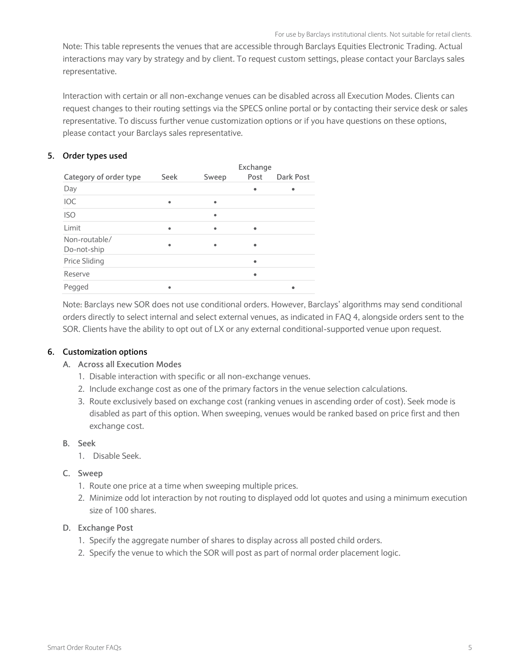<span id="page-5-0"></span>Note: This table represents the venues that are accessible through Barclays Equities Electronic Trading. Actual interactions may vary by strategy and by client. To request custom settings, please contact your Barclays sales representative.

Interaction with certain or all non-exchange venues can be disabled across all Execution Modes. Clients can request changes to their routing settings via the SPECS online portal or by contacting their service desk or sales representative. To discuss further venue customization options or if you have questions on these options, please contact your Barclays sales representative.

# **5. Order types used**

|                              |           |           | Exchange  |           |  |  |
|------------------------------|-----------|-----------|-----------|-----------|--|--|
| Category of order type       | Seek      | Sweep     | Post      | Dark Post |  |  |
| Day                          |           |           | ٠         |           |  |  |
| IOC                          | $\bullet$ | $\bullet$ |           |           |  |  |
| <b>ISO</b>                   |           | $\bullet$ |           |           |  |  |
| Limit                        | $\bullet$ | $\bullet$ | ٠         |           |  |  |
| Non-routable/<br>Do-not-ship | ٠         |           |           |           |  |  |
| <b>Price Sliding</b>         |           |           | ٠         |           |  |  |
| Reserve                      |           |           | $\bullet$ |           |  |  |
| Pegged                       | $\bullet$ |           |           |           |  |  |

<span id="page-5-1"></span>Note: Barclays new SOR does not use conditional orders. However, Barclays' algorithms may send conditional orders directly to select internal and select external venues, as indicated in FAQ 4, alongside orders sent to the SOR. Clients have the ability to opt out of LX or any external conditional-supported venue upon request.

# **6. Customization options**

#### **A. Across all Execution Modes**

- 1. Disable interaction with specific or all non-exchange venues.
- 2. Include exchange cost as one of the primary factors in the venue selection calculations.
- 3. Route exclusively based on exchange cost (ranking venues in ascending order of cost). Seek mode is disabled as part of this option. When sweeping, venues would be ranked based on price first and then exchange cost.

#### **B. Seek**

- 1. Disable Seek.
- **C. Sweep**
	- 1. Route one price at a time when sweeping multiple prices.
	- 2. Minimize odd lot interaction by not routing to displayed odd lot quotes and using a minimum execution size of 100 shares.

#### **D. Exchange Post**

- 1. Specify the aggregate number of shares to display across all posted child orders.
- 2. Specify the venue to which the SOR will post as part of normal order placement logic.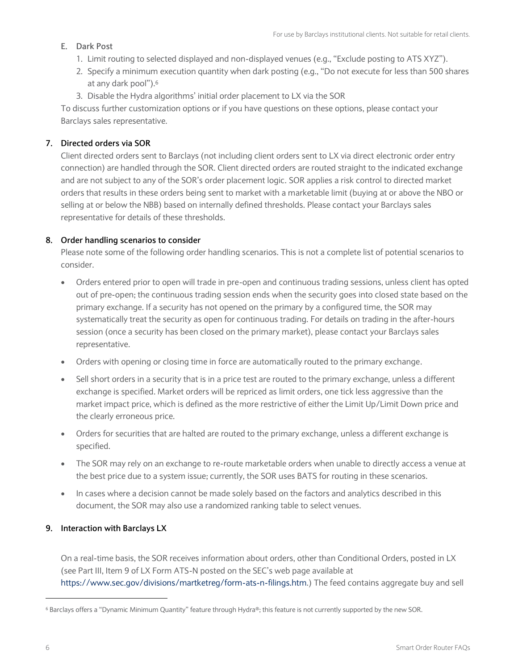# **E. Dark Post**

- 1. Limit routing to selected displayed and non-displayed venues (e.g., "Exclude posting to ATS XYZ").
- 2. Specify a minimum execution quantity when dark posting (e.g., "Do not execute for less than 500 shares at any dark pool").<sup>6</sup>
- 3. Disable the Hydra algorithms' initial order placement to LX via the SOR

To discuss further customization options or if you have questions on these options, please contact your Barclays sales representative.

# <span id="page-6-0"></span>**7. Directed orders via SOR**

Client directed orders sent to Barclays (not including client orders sent to LX via direct electronic order entry connection) are handled through the SOR. Client directed orders are routed straight to the indicated exchange and are not subject to any of the SOR's order placement logic. SOR applies a risk control to directed market orders that results in these orders being sent to market with a marketable limit (buying at or above the NBO or selling at or below the NBB) based on internally defined thresholds. Please contact your Barclays sales representative for details of these thresholds.

# <span id="page-6-1"></span>**8. Order handling scenarios to consider**

Please note some of the following order handling scenarios. This is not a complete list of potential scenarios to consider.

- Orders entered prior to open will trade in pre-open and continuous trading sessions, unless client has opted out of pre-open; the continuous trading session ends when the security goes into closed state based on the primary exchange. If a security has not opened on the primary by a configured time, the SOR may systematically treat the security as open for continuous trading. For details on trading in the after-hours session (once a security has been closed on the primary market), please contact your Barclays sales representative.
- Orders with opening or closing time in force are automatically routed to the primary exchange.
- Sell short orders in a security that is in a price test are routed to the primary exchange, unless a different exchange is specified. Market orders will be repriced as limit orders, one tick less aggressive than the market impact price, which is defined as the more restrictive of either the Limit Up/Limit Down price and the clearly erroneous price.
- Orders for securities that are halted are routed to the primary exchange, unless a different exchange is specified.
- The SOR may rely on an exchange to re-route marketable orders when unable to directly access a venue at the best price due to a system issue; currently, the SOR uses BATS for routing in these scenarios.
- In cases where a decision cannot be made solely based on the factors and analytics described in this document, the SOR may also use a randomized ranking table to select venues.

# <span id="page-6-2"></span>**9. Interaction with Barclays LX**

On a real-time basis, the SOR receives information about orders, other than Conditional Orders, posted in LX (see Part III, Item 9 of LX Form ATS-N posted on the SEC's web page available at [https://www.sec.gov/divisions/martketreg/form-ats-n-filings.htm.\)](https://www.sec.gov/divisions/martketreg/form-ats-n-filings.htm) The feed contains aggregate buy and sell

 $\overline{a}$ 

<sup>6</sup> Barclays offers a "Dynamic Minimum Quantity" feature through Hydra®; this feature is not currently supported by the new SOR.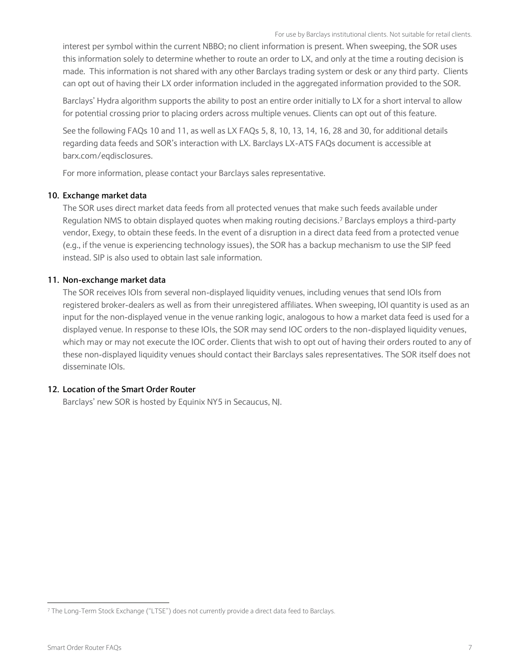interest per symbol within the current NBBO; no client information is present. When sweeping, the SOR uses this information solely to determine whether to route an order to LX, and only at the time a routing decision is made. This information is not shared with any other Barclays trading system or desk or any third party. Clients can opt out of having their LX order information included in the aggregated information provided to the SOR.

Barclays' Hydra algorithm supports the ability to post an entire order initially to LX for a short interval to allow for potential crossing prior to placing orders across multiple venues. Clients can opt out of this feature.

See the following FAQs 10 and 11, as well as LX FAQs 5, 8, 10, 13, 14, 16, 28 and 30, for additional details regarding data feeds and SOR's interaction with LX. Barclays LX-ATS FAQs document is accessible at barx.com/eqdisclosures.

For more information, please contact your Barclays sales representative.

#### <span id="page-7-0"></span>**10. Exchange market data**

The SOR uses direct market data feeds from all protected venues that make such feeds available under Regulation NMS to obtain displayed quotes when making routing decisions.<sup>7</sup> Barclays employs a third-party vendor, Exegy, to obtain these feeds. In the event of a disruption in a direct data feed from a protected venue (e.g., if the venue is experiencing technology issues), the SOR has a backup mechanism to use the SIP feed instead. SIP is also used to obtain last sale information.

#### <span id="page-7-1"></span>**11. Non-exchange market data**

The SOR receives IOIs from several non-displayed liquidity venues, including venues that send IOIs from registered broker-dealers as well as from their unregistered affiliates. When sweeping, IOI quantity is used as an input for the non-displayed venue in the venue ranking logic, analogous to how a market data feed is used for a displayed venue. In response to these IOIs, the SOR may send IOC orders to the non-displayed liquidity venues, which may or may not execute the IOC order. Clients that wish to opt out of having their orders routed to any of these non-displayed liquidity venues should contact their Barclays sales representatives. The SOR itself does not disseminate IOIs.

#### <span id="page-7-2"></span>**12. Location of the Smart Order Router**

Barclays' new SOR is hosted by Equinix NY5 in Secaucus, NJ.

j

<sup>7</sup> The Long-Term Stock Exchange ("LTSE") does not currently provide a direct data feed to Barclays.